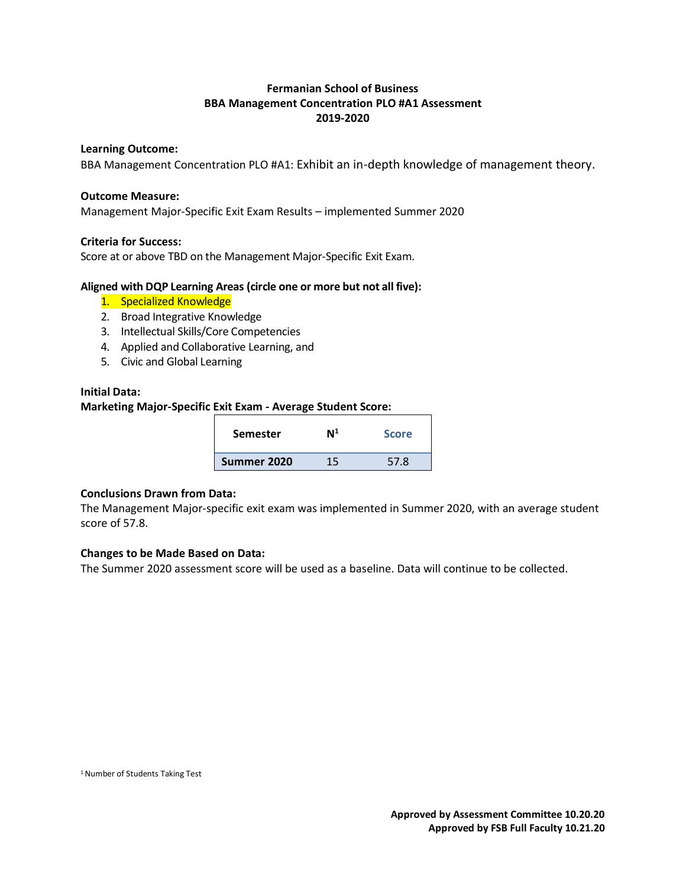# **Fermanian School of Business BBA Management Concentration PLO #A1 Assessment 2019-2020**

#### **Learning Outcome:**

BBA Management Concentration PLO #A1: Exhibit an in-depth knowledge of management theory.

#### **Outcome Measure:**

Management Major-Specific Exit Exam Results – implemented Summer 2020

## **Criteria for Success:**

Score at or above TBD on the Management Major-Specific Exit Exam.

#### **Aligned with DQP Learning Areas (circle one or more but not all five):**

- 1. Specialized Knowledge
- 2. Broad Integrative Knowledge
- 3. Intellectual Skills/Core Competencies
- 4. Applied and Collaborative Learning, and
- 5. Civic and Global Learning

#### **Initial Data:**

## **Marketing Major-Specific Exit Exam - Average Student Score:**

| <b>Semester</b> | Ν1 | <b>Score</b> |
|-----------------|----|--------------|
| Summer 2020     | 15 | 57.8         |

#### **Conclusions Drawn from Data:**

The Management Major-specific exit exam was implemented in Summer 2020, with an average student score of 57.8.

#### **Changes to be Made Based on Data:**

The Summer 2020 assessment score will be used as a baseline. Data will continue to be collected.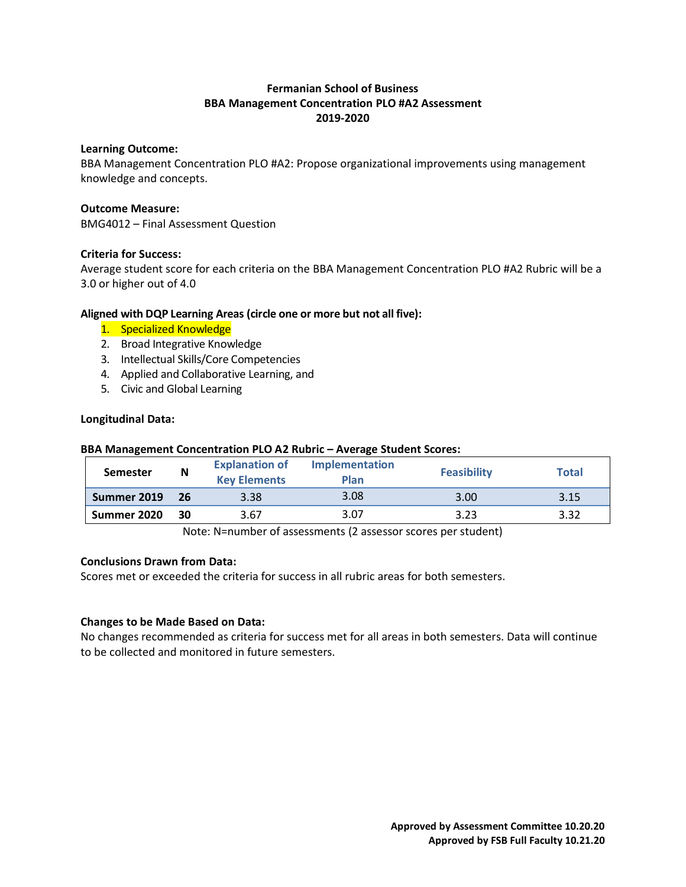# **Fermanian School of Business BBA Management Concentration PLO #A2 Assessment 2019-2020**

## **Learning Outcome:**

BBA Management Concentration PLO #A2: Propose organizational improvements using management knowledge and concepts.

## **Outcome Measure:**

BMG4012 – Final Assessment Question

# **Criteria for Success:**

Average student score for each criteria on the BBA Management Concentration PLO #A2 Rubric will be a 3.0 or higher out of 4.0

# **Aligned with DQP Learning Areas (circle one or more but not all five):**

- 1. Specialized Knowledge
- 2. Broad Integrative Knowledge
- 3. Intellectual Skills/Core Competencies
- 4. Applied and Collaborative Learning, and
- 5. Civic and Global Learning

## **Longitudinal Data:**

# **BBA Management Concentration PLO A2 Rubric – Average Student Scores:**

| <b>Semester</b> | N  | <b>Explanation of</b><br><b>Key Elements</b>                                                                    | <b>Implementation</b><br><b>Plan</b> | <b>Feasibility</b> | <b>Total</b> |
|-----------------|----|-----------------------------------------------------------------------------------------------------------------|--------------------------------------|--------------------|--------------|
| Summer 2019     | 26 | 3.38                                                                                                            | 3.08                                 | 3.00               | 3.15         |
| Summer 2020     | 30 | 3.67                                                                                                            | 3.07                                 | 3.23               | 3.32         |
|                 |    | the contract of the contract of the contract of the contract of the contract of the contract of the contract of |                                      |                    |              |

Note: N=number of assessments (2 assessor scores per student)

# **Conclusions Drawn from Data:**

Scores met or exceeded the criteria for success in all rubric areas for both semesters.

#### **Changes to be Made Based on Data:**

No changes recommended as criteria for success met for all areas in both semesters. Data will continue to be collected and monitored in future semesters.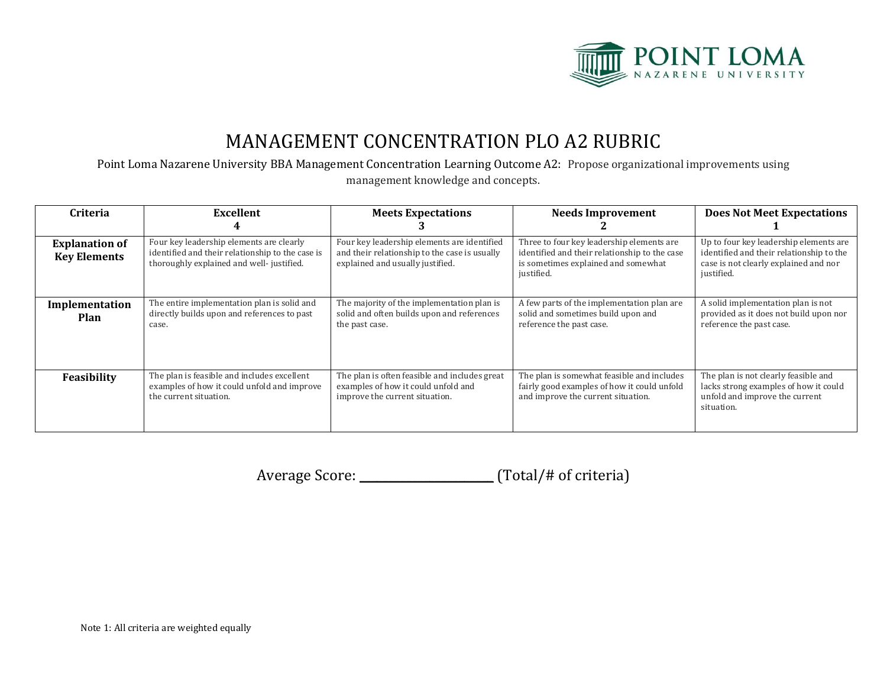

# MANAGEMENT CONCENTRATION PLO A2 RUBRIC

Point Loma Nazarene University BBA Management Concentration Learning Outcome A2: Propose organizational improvements using management knowledge and concepts.

| Criteria                                     | <b>Excellent</b>                                                                                                                         | <b>Meets Expectations</b>                                                                                                        | <b>Needs Improvement</b>                                                                                                                        | <b>Does Not Meet Expectations</b>                                                                                                         |
|----------------------------------------------|------------------------------------------------------------------------------------------------------------------------------------------|----------------------------------------------------------------------------------------------------------------------------------|-------------------------------------------------------------------------------------------------------------------------------------------------|-------------------------------------------------------------------------------------------------------------------------------------------|
| <b>Explanation of</b><br><b>Key Elements</b> | Four key leadership elements are clearly<br>identified and their relationship to the case is<br>thoroughly explained and well-justified. | Four key leadership elements are identified<br>and their relationship to the case is usually<br>explained and usually justified. | Three to four key leadership elements are<br>identified and their relationship to the case<br>is sometimes explained and somewhat<br>justified. | Up to four key leadership elements are<br>identified and their relationship to the<br>case is not clearly explained and nor<br>justified. |
| Implementation<br>Plan                       | The entire implementation plan is solid and<br>directly builds upon and references to past<br>case.                                      | The majority of the implementation plan is<br>solid and often builds upon and references<br>the past case.                       | A few parts of the implementation plan are<br>solid and sometimes build upon and<br>reference the past case.                                    | A solid implementation plan is not<br>provided as it does not build upon nor<br>reference the past case.                                  |
| Feasibility                                  | The plan is feasible and includes excellent<br>examples of how it could unfold and improve<br>the current situation.                     | The plan is often feasible and includes great<br>examples of how it could unfold and<br>improve the current situation.           | The plan is somewhat feasible and includes<br>fairly good examples of how it could unfold<br>and improve the current situation.                 | The plan is not clearly feasible and<br>lacks strong examples of how it could<br>unfold and improve the current<br>situation.             |

Average Score: \_\_\_\_\_\_\_\_\_\_\_\_\_\_\_\_\_\_\_\_\_\_\_ (Total/# of criteria)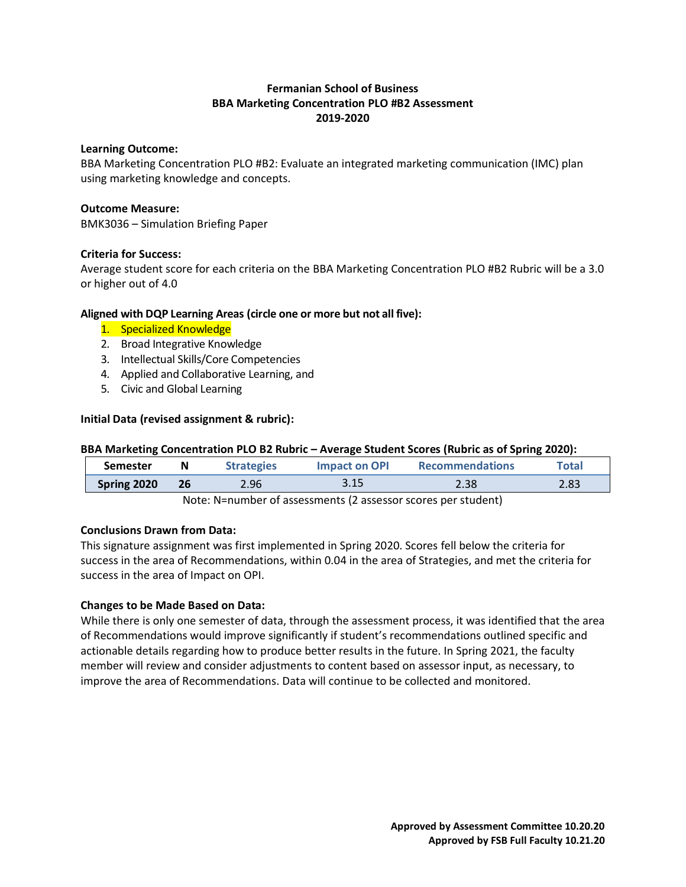# **Fermanian School of Business BBA Marketing Concentration PLO #B2 Assessment 2019-2020**

## **Learning Outcome:**

BBA Marketing Concentration PLO #B2: Evaluate an integrated marketing communication (IMC) plan using marketing knowledge and concepts.

## **Outcome Measure:**

BMK3036 – Simulation Briefing Paper

## **Criteria for Success:**

Average student score for each criteria on the BBA Marketing Concentration PLO #B2 Rubric will be a 3.0 or higher out of 4.0

# **Aligned with DQP Learning Areas (circle one or more but not all five):**

- 1. Specialized Knowledge
- 2. Broad Integrative Knowledge
- 3. Intellectual Skills/Core Competencies
- 4. Applied and Collaborative Learning, and
- 5. Civic and Global Learning

## **Initial Data (revised assignment & rubric):**

#### **BBA Marketing Concentration PLO B2 Rubric – Average Student Scores (Rubric as of Spring 2020):**

| <b>Semester</b> | N  | <b>Strategies</b> | <b>Impact on OPI</b> | <b>Recommendations</b> | Total |
|-----------------|----|-------------------|----------------------|------------------------|-------|
| Spring 2020     | 26 | 2.96              | 3.15                 | 2.38                   | 2.83  |

Note: N=number of assessments (2 assessor scores per student)

# **Conclusions Drawn from Data:**

This signature assignment was first implemented in Spring 2020. Scores fell below the criteria for success in the area of Recommendations, within 0.04 in the area of Strategies, and met the criteria for success in the area of Impact on OPI.

# **Changes to be Made Based on Data:**

While there is only one semester of data, through the assessment process, it was identified that the area of Recommendations would improve significantly if student's recommendations outlined specific and actionable details regarding how to produce better results in the future. In Spring 2021, the faculty member will review and consider adjustments to content based on assessor input, as necessary, to improve the area of Recommendations. Data will continue to be collected and monitored.